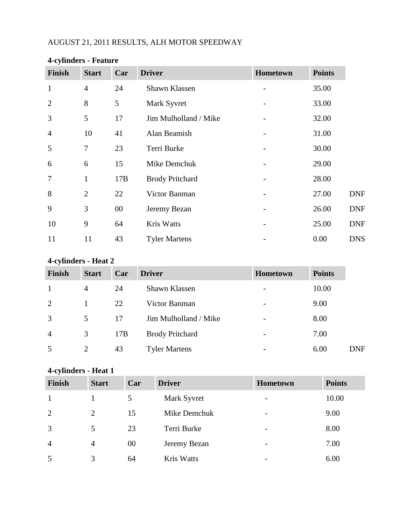## AUGUST 21, 2011 RESULTS, ALH MOTOR SPEEDWAY

| <b>Finish</b>  | <b>Start</b>   | Car    | <b>Driver</b>          | Hometown | <b>Points</b> |            |
|----------------|----------------|--------|------------------------|----------|---------------|------------|
| $\mathbf{1}$   | $\overline{4}$ | 24     | Shawn Klassen          |          | 35.00         |            |
| $\overline{2}$ | 8              | 5      | Mark Syvret            |          | 33.00         |            |
| 3              | 5              | 17     | Jim Mulholland / Mike  |          | 32.00         |            |
| $\overline{4}$ | 10             | 41     | Alan Beamish           |          | 31.00         |            |
| 5              | 7              | 23     | Terri Burke            |          | 30.00         |            |
| 6              | 6              | 15     | Mike Demchuk           |          | 29.00         |            |
| $\overline{7}$ | $\mathbf{1}$   | 17B    | <b>Brody Pritchard</b> |          | 28.00         |            |
| 8              | $\overline{2}$ | 22     | Victor Banman          |          | 27.00         | <b>DNF</b> |
| 9              | 3              | $00\,$ | Jeremy Bezan           |          | 26.00         | <b>DNF</b> |
| 10             | 9              | 64     | <b>Kris Watts</b>      |          | 25.00         | <b>DNF</b> |
| 11             | 11             | 43     | <b>Tyler Martens</b>   |          | 0.00          | <b>DNS</b> |

## **4-cylinders - Feature**

# **4-cylinders - Heat 2**

| <b>Finish</b>  | <b>Start</b>   | Car | <b>Driver</b>          | Hometown                 | <b>Points</b> |            |
|----------------|----------------|-----|------------------------|--------------------------|---------------|------------|
| $\mathbf{1}$   | $\overline{4}$ | 24  | Shawn Klassen          | $\overline{\phantom{a}}$ | 10.00         |            |
| 2              |                | 22  | Victor Banman          |                          | 9.00          |            |
| 3              | 5              | 17  | Jim Mulholland / Mike  | $\overline{\phantom{0}}$ | 8.00          |            |
| $\overline{4}$ | 3              | 17B | <b>Brody Pritchard</b> | $\overline{\phantom{a}}$ | 7.00          |            |
| 5              | $\overline{2}$ | 43  | <b>Tyler Martens</b>   |                          | 6.00          | <b>DNF</b> |

## **4-cylinders - Heat 1**

| Finish         | <b>Start</b>   | Car | <b>Driver</b>     | Hometown                 | <b>Points</b> |
|----------------|----------------|-----|-------------------|--------------------------|---------------|
| $\mathbf{1}$   |                | 5   | Mark Syvret       | $\overline{\phantom{0}}$ | 10.00         |
| 2              | $\overline{2}$ | 15  | Mike Demchuk      | $\overline{\phantom{a}}$ | 9.00          |
| 3              | 5              | 23  | Terri Burke       | $\overline{\phantom{0}}$ | 8.00          |
| $\overline{4}$ | $\overline{4}$ | 00  | Jeremy Bezan      | $\overline{\phantom{a}}$ | 7.00          |
| 5              | 3              | 64  | <b>Kris Watts</b> | $\overline{\phantom{0}}$ | 6.00          |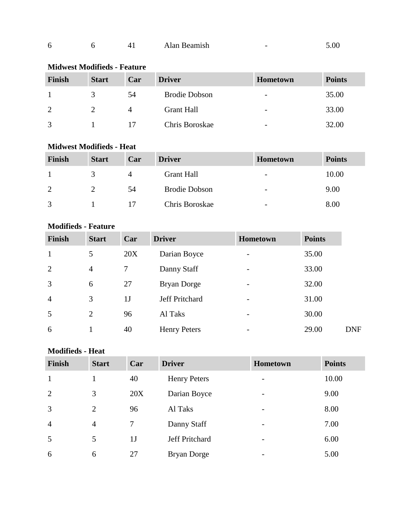| Alan Beamish<br>n | .00 |
|-------------------|-----|
|-------------------|-----|

## **Midwest Modifieds - Feature**

| Finish         | <b>Start</b> | Car | <b>Driver</b>        | <b>Hometown</b>          | <b>Points</b> |
|----------------|--------------|-----|----------------------|--------------------------|---------------|
|                |              | 54  | <b>Brodie Dobson</b> | $\overline{\phantom{a}}$ | 35.00         |
| $\overline{2}$ |              |     | <b>Grant Hall</b>    | $\overline{\phantom{0}}$ | 33.00         |
| 3              |              |     | Chris Boroskae       | $\overline{\phantom{0}}$ | 32.00         |

### **Midwest Modifieds - Heat**

| Finish        | <b>Start</b> | Car | <b>Driver</b>        | <b>Hometown</b>          | <b>Points</b> |
|---------------|--------------|-----|----------------------|--------------------------|---------------|
|               |              |     | <b>Grant Hall</b>    | -                        | 10.00         |
| $\mathcal{D}$ |              | 54  | <b>Brodie Dobson</b> | $\overline{\phantom{0}}$ | 9.00          |
| $\mathcal{R}$ |              |     | Chris Boroskae       | -                        | 8.00          |

#### **Modifieds - Feature**

| <b>Finish</b>  | <b>Start</b>   | Car            | <b>Driver</b>       | <b>Hometown</b>          | <b>Points</b> |            |
|----------------|----------------|----------------|---------------------|--------------------------|---------------|------------|
|                | 5              | 20X            | Darian Boyce        |                          | 35.00         |            |
| $\overline{2}$ | 4              |                | Danny Staff         | $\overline{\phantom{0}}$ | 33.00         |            |
| 3              | 6              | 27             | Bryan Dorge         | $\overline{\phantom{0}}$ | 32.00         |            |
| $\overline{4}$ | 3              | 1 <sub>J</sub> | Jeff Pritchard      | -                        | 31.00         |            |
| 5              | $\overline{2}$ | 96             | Al Taks             | -                        | 30.00         |            |
| 6              |                | 40             | <b>Henry Peters</b> |                          | 29.00         | <b>DNF</b> |

### **Modifieds - Heat**

| <b>Finish</b>  | <b>Start</b>   | Car            | <b>Driver</b>       | <b>Hometown</b>          | <b>Points</b> |
|----------------|----------------|----------------|---------------------|--------------------------|---------------|
| $\mathbf{1}$   |                | 40             | <b>Henry Peters</b> | $\overline{a}$           | 10.00         |
| 2              | 3              | 20X            | Darian Boyce        | $\overline{a}$           | 9.00          |
| $\overline{3}$ | 2              | 96             | Al Taks             | -                        | 8.00          |
| $\overline{4}$ | $\overline{4}$ | $\tau$         | Danny Staff         | -                        | 7.00          |
| 5              | 5              | 1 <sub>J</sub> | Jeff Pritchard      | $\overline{\phantom{m}}$ | 6.00          |
| 6              | 6              | 27             | <b>Bryan Dorge</b>  | ۰                        | 5.00          |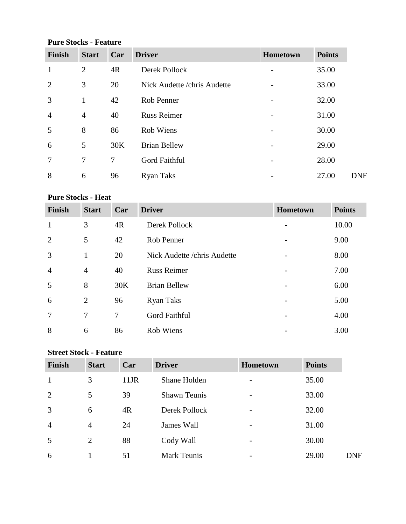## **Pure Stocks - Feature**

| Finish         | <b>Start</b>             | Car            | <b>Driver</b>                | Hometown | <b>Points</b> |
|----------------|--------------------------|----------------|------------------------------|----------|---------------|
| 1              | 2                        | 4R             | Derek Pollock                |          | 35.00         |
| $\overline{2}$ | 3                        | 20             | Nick Audette / chris Audette |          | 33.00         |
| 3              | 1                        | 42             | Rob Penner                   |          | 32.00         |
| $\overline{4}$ | $\overline{4}$           | 40             | <b>Russ Reimer</b>           |          | 31.00         |
| 5              | 8                        | 86             | Rob Wiens                    |          | 30.00         |
| 6              | 5                        | 30K            | <b>Brian Bellew</b>          |          | 29.00         |
| $\overline{7}$ | $\overline{\mathcal{L}}$ | $\overline{7}$ | Gord Faithful                |          | 28.00         |
| 8              | 6                        | 96             | <b>Ryan Taks</b>             |          | 27.00         |

### **Pure Stocks - Heat**

| <b>Finish</b>  | <b>Start</b>   | Car | <b>Driver</b>                | <b>Hometown</b> | <b>Points</b> |
|----------------|----------------|-----|------------------------------|-----------------|---------------|
| $\mathbf{1}$   | 3              | 4R  | Derek Pollock                |                 | 10.00         |
| 2              | 5              | 42  | Rob Penner                   |                 | 9.00          |
| 3              | $\mathbf{1}$   | 20  | Nick Audette / chris Audette |                 | 8.00          |
| $\overline{4}$ | $\overline{4}$ | 40  | <b>Russ Reimer</b>           |                 | 7.00          |
| 5              | 8              | 30K | <b>Brian Bellew</b>          |                 | 6.00          |
| 6              | $\overline{2}$ | 96  | <b>Ryan Taks</b>             |                 | 5.00          |
| $\overline{7}$ | 7              | 7   | Gord Faithful                |                 | 4.00          |
| 8              | 6              | 86  | <b>Rob Wiens</b>             |                 | 3.00          |

### **Street Stock - Feature**

| <b>Finish</b>  | <b>Start</b>   | Car  | <b>Driver</b>       | Hometown                 | <b>Points</b> |            |
|----------------|----------------|------|---------------------|--------------------------|---------------|------------|
| $\mathbf{1}$   | 3              | 11JR | Shane Holden        | $\overline{\phantom{a}}$ | 35.00         |            |
| 2              | 5              | 39   | <b>Shawn Teunis</b> | $\overline{\phantom{a}}$ | 33.00         |            |
| $\overline{3}$ | 6              | 4R   | Derek Pollock       | $\overline{\phantom{a}}$ | 32.00         |            |
| $\overline{4}$ | $\overline{4}$ | 24   | James Wall          | $\overline{\phantom{a}}$ | 31.00         |            |
| 5              | $\overline{2}$ | 88   | Cody Wall           | $\overline{\phantom{a}}$ | 30.00         |            |
| 6              |                | 51   | <b>Mark Teunis</b>  | $\overline{\phantom{a}}$ | 29.00         | <b>DNF</b> |